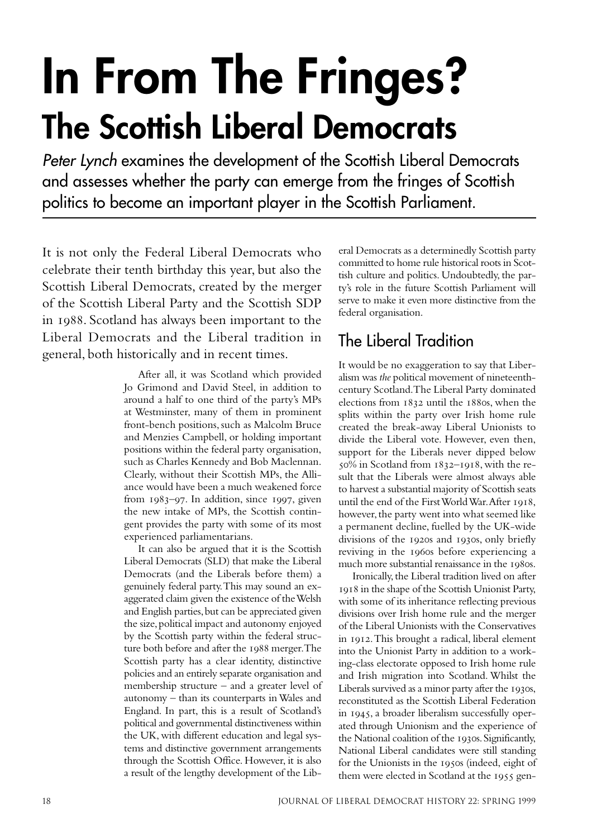# **In From The Fringes? The Scottish Liberal Democrats**

Peter Lynch examines the development of the Scottish Liberal Democrats and assesses whether the party can emerge from the fringes of Scottish politics to become an important player in the Scottish Parliament.

It is not only the Federal Liberal Democrats who celebrate their tenth birthday this year, but also the Scottish Liberal Democrats, created by the merger of the Scottish Liberal Party and the Scottish SDP in 1988. Scotland has always been important to the Liberal Democrats and the Liberal tradition in general, both historically and in recent times.

> After all, it was Scotland which provided Jo Grimond and David Steel, in addition to around a half to one third of the party's MPs at Westminster, many of them in prominent front-bench positions, such as Malcolm Bruce and Menzies Campbell, or holding important positions within the federal party organisation, such as Charles Kennedy and Bob Maclennan. Clearly, without their Scottish MPs, the Alliance would have been a much weakened force from  $1983-97$ . In addition, since  $1997$ , given the new intake of MPs, the Scottish contingent provides the party with some of its most experienced parliamentarians.

> It can also be argued that it is the Scottish Liberal Democrats (SLD) that make the Liberal Democrats (and the Liberals before them) a genuinely federal party. This may sound an exaggerated claim given the existence of the Welsh and English parties, but can be appreciated given the size, political impact and autonomy enjoyed by the Scottish party within the federal structure both before and after the 1988 merger. The Scottish party has a clear identity, distinctive policies and an entirely separate organisation and membership structure – and a greater level of autonomy – than its counterparts in Wales and England. In part, this is a result of Scotland's political and governmental distinctiveness within the UK, with different education and legal systems and distinctive government arrangements through the Scottish Office. However, it is also a result of the lengthy development of the Lib

eral Democrats as a determinedly Scottish party committed to home rule historical roots in Scottish culture and politics. Undoubtedly, the party's role in the future Scottish Parliament will serve to make it even more distinctive from the federal organisation.

#### The Liberal Tradition

It would be no exaggeration to say that Liberalism was *the* political movement of nineteenthcentury Scotland. The Liberal Party dominated elections from  $1832$  until the  $188$ os, when the splits within the party over Irish home rule created the break-away Liberal Unionists to divide the Liberal vote. However, even then, support for the Liberals never dipped below  $50\%$  in Scotland from  $1832 - 1918$ , with the result that the Liberals were almost always able to harvest a substantial majority of Scottish seats until the end of the First World War. After 1918, however, the party went into what seemed like a permanent decline, fuelled by the UK-wide divisions of the 1920s and 1930s, only briefly reviving in the 1960s before experiencing a much more substantial renaissance in the 1980s.

Ironically, the Liberal tradition lived on after in the shape of the Scottish Unionist Party, with some of its inheritance reflecting previous divisions over Irish home rule and the merger of the Liberal Unionists with the Conservatives in 1912. This brought a radical, liberal element into the Unionist Party in addition to a working-class electorate opposed to Irish home rule and Irish migration into Scotland. Whilst the Liberals survived as a minor party after the 1930s, reconstituted as the Scottish Liberal Federation in 1945, a broader liberalism successfully operated through Unionism and the experience of the National coalition of the 1930s. Significantly, National Liberal candidates were still standing for the Unionists in the 1950s (indeed, eight of them were elected in Scotland at the 1955 gen-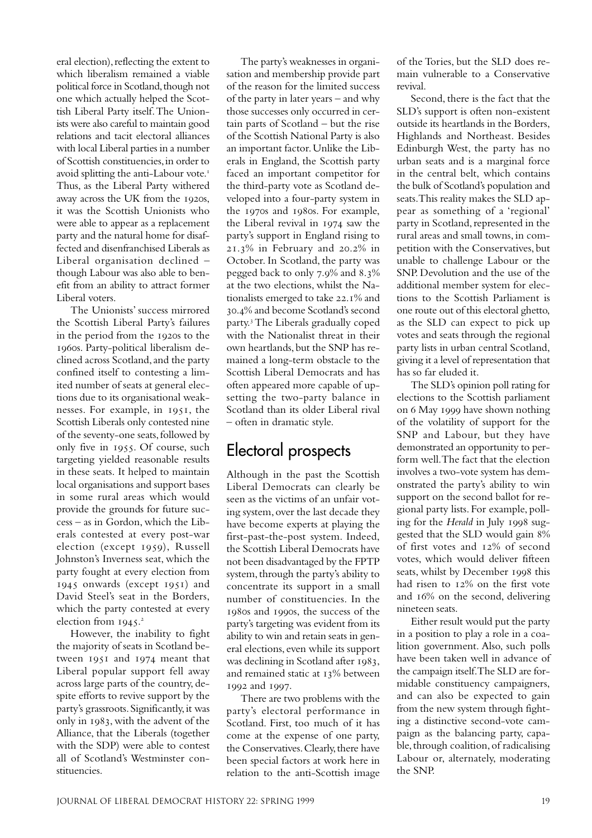eral election), reflecting the extent to which liberalism remained a viable political force in Scotland, though not one which actually helped the Scottish Liberal Party itself. The Unionists were also careful to maintain good relations and tacit electoral alliances with local Liberal parties in a number of Scottish constituencies, in order to avoid splitting the anti-Labour vote. Thus, as the Liberal Party withered away across the UK from the 1920s. it was the Scottish Unionists who were able to appear as a replacement party and the natural home for disaffected and disenfranchised Liberals as Liberal organisation declined – though Labour was also able to benefit from an ability to attract former Liberal voters.

The Unionists' success mirrored the Scottish Liberal Party's failures in the period from the 1920s to the s. Party-political liberalism declined across Scotland, and the party confined itself to contesting a limited number of seats at general elections due to its organisational weaknesses. For example, in 1951, the Scottish Liberals only contested nine of the seventy-one seats, followed by only five in 1955. Of course, such targeting yielded reasonable results in these seats. It helped to maintain local organisations and support bases in some rural areas which would provide the grounds for future success – as in Gordon, which the Liberals contested at every post-war election (except 1959), Russell Johnston's Inverness seat, which the party fought at every election from 1945 onwards (except 1951) and David Steel's seat in the Borders, which the party contested at every election from 1945.<sup>2</sup>

However, the inability to fight the majority of seats in Scotland between  $1951$  and  $1974$  meant that Liberal popular support fell away across large parts of the country, despite efforts to revive support by the party's grassroots. Significantly, it was only in 1983, with the advent of the Alliance, that the Liberals (together with the SDP) were able to contest all of Scotland's Westminster constituencies.

The party's weaknesses in organisation and membership provide part of the reason for the limited success of the party in later years – and why those successes only occurred in certain parts of Scotland – but the rise of the Scottish National Party is also an important factor. Unlike the Liberals in England, the Scottish party faced an important competitor for the third-party vote as Scotland developed into a four-party system in the 1970s and 1980s. For example, the Liberal revival in 1974 saw the party's support in England rising to  $21.3\%$  in February and  $20.2\%$  in October. In Scotland, the party was pegged back to only  $7.9\%$  and  $8.3\%$ at the two elections, whilst the Nationalists emerged to take  $22.1\%$  and .% and become Scotland's second party.<sup>3</sup> The Liberals gradually coped with the Nationalist threat in their own heartlands, but the SNP has remained a long-term obstacle to the Scottish Liberal Democrats and has often appeared more capable of upsetting the two-party balance in Scotland than its older Liberal rival – often in dramatic style.

### Electoral prospects

Although in the past the Scottish Liberal Democrats can clearly be seen as the victims of an unfair voting system, over the last decade they have become experts at playing the first-past-the-post system. Indeed, the Scottish Liberal Democrats have not been disadvantaged by the FPTP system, through the party's ability to concentrate its support in a small number of constituencies. In the 1980s and 1990s, the success of the party's targeting was evident from its ability to win and retain seats in general elections, even while its support was declining in Scotland after 1983, and remained static at 13% between 1992 and 1997.

There are two problems with the party's electoral performance in Scotland. First, too much of it has come at the expense of one party, the Conservatives. Clearly, there have been special factors at work here in relation to the anti-Scottish image

of the Tories, but the SLD does remain vulnerable to a Conservative revival.

Second, there is the fact that the SLD's support is often non-existent outside its heartlands in the Borders, Highlands and Northeast. Besides Edinburgh West, the party has no urban seats and is a marginal force in the central belt, which contains the bulk of Scotland's population and seats. This reality makes the SLD appear as something of a 'regional' party in Scotland, represented in the rural areas and small towns, in competition with the Conservatives, but unable to challenge Labour or the SNP. Devolution and the use of the additional member system for elections to the Scottish Parliament is one route out of this electoral ghetto, as the SLD can expect to pick up votes and seats through the regional party lists in urban central Scotland, giving it a level of representation that has so far eluded it.

The SLD's opinion poll rating for elections to the Scottish parliament on 6 May 1999 have shown nothing of the volatility of support for the SNP and Labour, but they have demonstrated an opportunity to perform well. The fact that the election involves a two-vote system has demonstrated the party's ability to win support on the second ballot for regional party lists. For example, polling for the *Herald* in July 1998 suggested that the SLD would gain  $8\%$ of first votes and 12% of second votes, which would deliver fifteen seats, whilst by December 1998 this had risen to  $12\%$  on the first vote and  $16\%$  on the second, delivering nineteen seats.

Either result would put the party in a position to play a role in a coalition government. Also, such polls have been taken well in advance of the campaign itself. The SLD are formidable constituency campaigners, and can also be expected to gain from the new system through fighting a distinctive second-vote campaign as the balancing party, capable, through coalition, of radicalising Labour or, alternately, moderating the SNP.